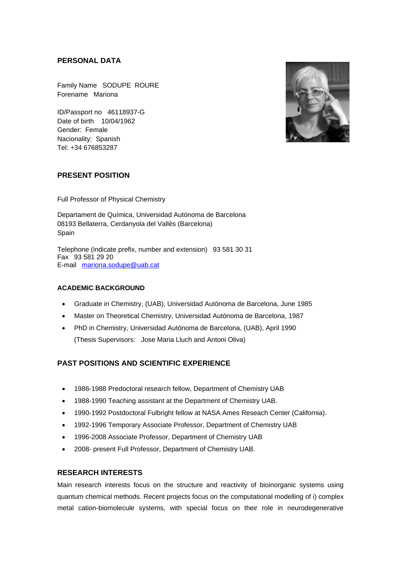### **PERSONAL DATA**

Family Name SODUPE ROURE Forename Mariona

ID/Passport no 46118937-G Date of birth 10/04/1962 Gender: Female Nacionality: Spanish Tel: +34 676853287



## **PRESENT POSITION**

Full Professor of Physical Chemistry

Departament de Química, Universidad Autónoma de Barcelona 08193 Bellaterra, Cerdanyola del Vallès (Barcelona) **Spain** 

Telephone (indicate prefix, number and extension) 93 581 30 31 Fax 93 581 29 20 E-mail mariona.sodupe@uab.cat

#### **ACADEMIC BACKGROUND**

- Graduate in Chemistry, (UAB), Universidad Autónoma de Barcelona, June 1985
- Master on Theoretical Chemistry, Universidad Autónoma de Barcelona, 1987
- PhD in Chemistry, Universidad Autónoma de Barcelona, (UAB), April 1990 (Thesis Supervisors: Jose Maria Lluch and Antoni Oliva)

# **PAST POSITIONS AND SCIENTIFIC EXPERIENCE**

- 1986-1988 Predoctoral research fellow, Department of Chemistry UAB
- 1988-1990 Teaching assistant at the Department of Chemistry UAB.
- 1990-1992 Postdoctoral Fulbright fellow at NASA Ames Reseach Center (California).
- 1992-1996 Temporary Associate Professor, Department of Chemistry UAB
- 1996-2008 Associate Professor, Department of Chemistry UAB
- 2008- present Full Professor, Department of Chemistry UAB.

## **RESEARCH INTERESTS**

Main research interests focus on the structure and reactivity of bioinorganic systems using quantum chemical methods. Recent projects focus on the computational modelling of i) complex metal cation-biomolecule systems, with special focus on their role in neurodegenerative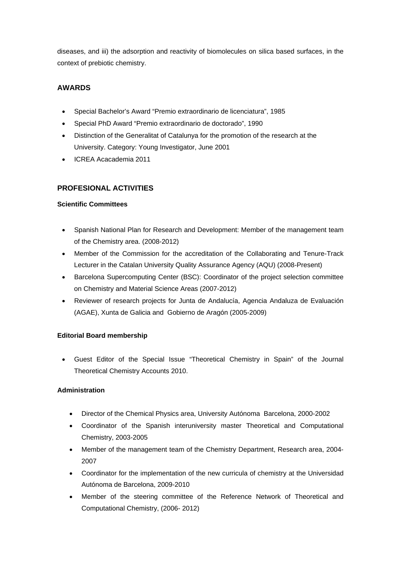diseases, and iii) the adsorption and reactivity of biomolecules on silica based surfaces, in the context of prebiotic chemistry.

## **AWARDS**

- Special Bachelor's Award "Premio extraordinario de licenciatura", 1985
- Special PhD Award "Premio extraordinario de doctorado", 1990
- Distinction of the Generalitat of Catalunya for the promotion of the research at the University. Category: Young Investigator, June 2001
- ICREA Acacademia 2011

## **PROFESIONAL ACTIVITIES**

#### **Scientific Committees**

- Spanish National Plan for Research and Development: Member of the management team of the Chemistry area. (2008-2012)
- Member of the Commission for the accreditation of the Collaborating and Tenure-Track Lecturer in the Catalan University Quality Assurance Agency (AQU) (2008-Present)
- Barcelona Supercomputing Center (BSC): Coordinator of the project selection committee on Chemistry and Material Science Areas (2007-2012)
- Reviewer of research projects for Junta de Andalucía, Agencia Andaluza de Evaluación (AGAE), Xunta de Galicia and Gobierno de Aragón (2005-2009)

## **Editorial Board membership**

 Guest Editor of the Special Issue "Theoretical Chemistry in Spain" of the Journal Theoretical Chemistry Accounts 2010.

## **Administration**

- Director of the Chemical Physics area, University Autónoma Barcelona, 2000-2002
- Coordinator of the Spanish interuniversity master Theoretical and Computational Chemistry, 2003-2005
- Member of the management team of the Chemistry Department, Research area, 2004- 2007
- Coordinator for the implementation of the new curricula of chemistry at the Universidad Autónoma de Barcelona, 2009-2010
- Member of the steering committee of the Reference Network of Theoretical and Computational Chemistry, (2006- 2012)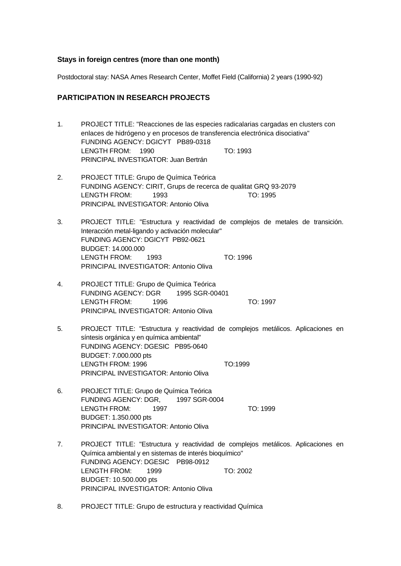#### **Stays in foreign centres (more than one month)**

Postdoctoral stay: NASA Ames Research Center, Moffet Field (California) 2 years (1990-92)

### **PARTICIPATION IN RESEARCH PROJECTS**

- 1. PROJECT TITLE: "Reacciones de las especies radicalarias cargadas en clusters con enlaces de hidrógeno y en procesos de transferencia electrónica disociativa" FUNDING AGENCY: DGICYT PB89-0318 LENGTH FROM: 1990 TO: 1993 PRINCIPAL INVESTIGATOR: Juan Bertrán
- 2. PROJECT TITLE: Grupo de Química Teórica FUNDING AGENCY: CIRIT, Grups de recerca de qualitat GRQ 93-2079 LENGTH FROM: 1993 TO: 1995 PRINCIPAL INVESTIGATOR: Antonio Oliva
- 3. PROJECT TITLE: "Estructura y reactividad de complejos de metales de transición. Interacción metal-ligando y activación molecular" FUNDING AGENCY: DGICYT PB92-0621 BUDGET: 14.000.000 LENGTH FROM: 1993 TO: 1996 PRINCIPAL INVESTIGATOR: Antonio Oliva
- 4. PROJECT TITLE: Grupo de Química Teórica FUNDING AGENCY: DGR 1995 SGR-00401 LENGTH FROM: 1996 TO: 1997 PRINCIPAL INVESTIGATOR: Antonio Oliva
- 5. PROJECT TITLE: "Estructura y reactividad de complejos metálicos. Aplicaciones en síntesis orgánica y en química ambiental" FUNDING AGENCY: DGESIC PB95-0640 BUDGET: 7.000.000 pts LENGTH FROM: 1996 TO:1999 PRINCIPAL INVESTIGATOR: Antonio Oliva
- 6. PROJECT TITLE: Grupo de Química Teórica FUNDING AGENCY: DGR, 1997 SGR-0004 LENGTH FROM: 1997 TO: 1999 BUDGET: 1.350.000 pts PRINCIPAL INVESTIGATOR: Antonio Oliva
- 7. PROJECT TITLE: "Estructura y reactividad de complejos metálicos. Aplicaciones en Química ambiental y en sistemas de interés bioquímico" FUNDING AGENCY: DGESIC PB98-0912 LENGTH FROM: 1999 TO: 2002 BUDGET: 10.500.000 pts PRINCIPAL INVESTIGATOR: Antonio Oliva
- 8. PROJECT TITLE: Grupo de estructura y reactividad Química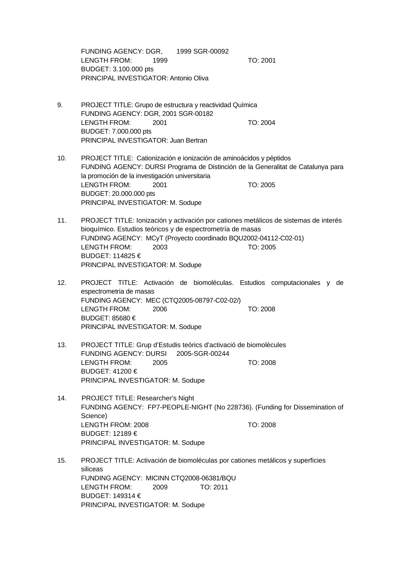FUNDING AGENCY: DGR, 1999 SGR-00092 LENGTH FROM: 1999 TO: 2001 BUDGET: 3.100.000 pts PRINCIPAL INVESTIGATOR: Antonio Oliva

- 9. PROJECT TITLE: Grupo de estructura y reactividad Química FUNDING AGENCY: DGR, 2001 SGR-00182 LENGTH FROM: 2001 TO: 2004 BUDGET: 7.000.000 pts PRINCIPAL INVESTIGATOR: Juan Bertran
- 10. PROJECT TITLE: Cationización e ionización de aminoácidos y péptidos FUNDING AGENCY: DURSI Programa de Distinción de la Generalitat de Catalunya para la promoción de la investigación universitaria LENGTH FROM: 2001 TO: 2005 BUDGET: 20.000.000 pts PRINCIPAL INVESTIGATOR: M. Sodupe
- 11. PROJECT TITLE: Ionización y activación por cationes metálicos de sistemas de interés bioquímico. Estudios teóricos y de espectrometría de masas FUNDING AGENCY: MCyT (Proyecto coordinado BQU2002-04112-C02-01) LENGTH FROM: 2003 TO: 2005 BUDGET: 114825 € PRINCIPAL INVESTIGATOR: M. Sodupe
- 12. PROJECT TITLE: Activación de biomoléculas. Estudios computacionales y de espectrometria de masas FUNDING AGENCY: MEC (CTQ2005-08797-C02-02/) LENGTH FROM: 2006 TO: 2008 BUDGET: 85680 € PRINCIPAL INVESTIGATOR: M. Sodupe
- 13. PROJECT TITLE: Grup d'Estudis teòrics d'activació de biomolècules FUNDING AGENCY: DURSI 2005-SGR-00244 LENGTH FROM: 2005 TO: 2008 BUDGET: 41200 € PRINCIPAL INVESTIGATOR: M. Sodupe
- 14. PROJECT TITLE: Researcher's Night FUNDING AGENCY: FP7-PEOPLE-NIGHT (No 228736). (Funding for Dissemination of Science) LENGTH FROM: 2008 TO: 2008 BUDGET: 12189 € PRINCIPAL INVESTIGATOR: M. Sodupe
- 15. PROJECT TITLE: Activación de biomoléculas por cationes metálicos y superficies siliceas FUNDING AGENCY: MICINN CTQ2008-06381/BQU LENGTH FROM: 2009 TO: 2011 BUDGET: 149314 € PRINCIPAL INVESTIGATOR: M. Sodupe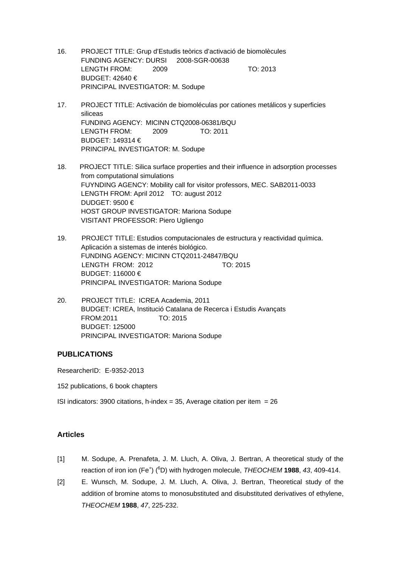- 16. PROJECT TITLE: Grup d'Estudis teòrics d'activació de biomolècules FUNDING AGENCY: DURSI 2008-SGR-00638 LENGTH FROM: 2009 TO: 2013 BUDGET: 42640 € PRINCIPAL INVESTIGATOR: M. Sodupe
- 17. PROJECT TITLE: Activación de biomoléculas por cationes metálicos y superficies siliceas FUNDING AGENCY: MICINN CTQ2008-06381/BQU LENGTH FROM: 2009 TO: 2011 BUDGET: 149314 € PRINCIPAL INVESTIGATOR: M. Sodupe
- 18. PROJECT TITLE: Silica surface properties and their influence in adsorption processes from computational simulations FUYNDING AGENCY: Mobility call for visitor professors, MEC. SAB2011-0033 LENGTH FROM: April 2012 TO: august 2012 DUDGET: 9500 € HOST GROUP INVESTIGATOR: Mariona Sodupe VISITANT PROFESSOR: Piero Ugliengo
- 19. PROJECT TITLE: Estudios computacionales de estructura y reactividad química. Aplicación a sistemas de interés biológico. FUNDING AGENCY: MICINN CTQ2011-24847/BQU LENGTH FROM: 2012 TO: 2015 BUDGET: 116000 € PRINCIPAL INVESTIGATOR: Mariona Sodupe
- 20. PROJECT TITLE: ICREA Academia, 2011 BUDGET: ICREA, Institució Catalana de Recerca i Estudis Avançats FROM:2011 TO: 2015 BUDGET: 125000 PRINCIPAL INVESTIGATOR: Mariona Sodupe

## **PUBLICATIONS**

ResearcherID: E-9352-2013

152 publications, 6 book chapters

ISI indicators: 3900 citations, h-index = 35, Average citation per item =  $26$ 

#### **Articles**

- [1] M. Sodupe, A. Prenafeta, J. M. Lluch, A. Oliva, J. Bertran, A theoretical study of the reaction of iron ion (Fe<sup>+</sup>) (<sup>6</sup>D) with hydrogen molecule, THEOCHEM **1988**, 43, 409-414.
- [2] E. Wunsch, M. Sodupe, J. M. Lluch, A. Oliva, J. Bertran, Theoretical study of the addition of bromine atoms to monosubstituted and disubstituted derivatives of ethylene, *THEOCHEM* **1988**, *47*, 225-232.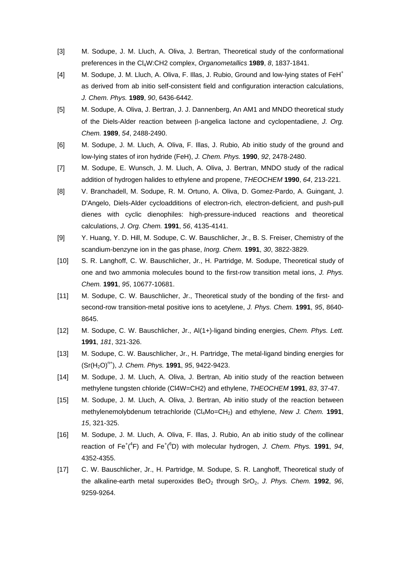- [3] M. Sodupe, J. M. Lluch, A. Oliva, J. Bertran, Theoretical study of the conformational preferences in the Cl4W:CH2 complex, *Organometallics* **1989**, *8*, 1837-1841.
- [4] M. Sodupe, J. M. Lluch, A. Oliva, F. Illas, J. Rubio, Ground and low-lying states of FeH<sup>+</sup> as derived from ab initio self-consistent field and configuration interaction calculations, *J. Chem. Phys.* **1989**, *90*, 6436-6442.
- [5] M. Sodupe, A. Oliva, J. Bertran, J. J. Dannenberg, An AM1 and MNDO theoretical study of the Diels-Alder reaction between B-angelica lactone and cyclopentadiene, *J. Org. Chem.* **1989**, *54*, 2488-2490.
- [6] M. Sodupe, J. M. Lluch, A. Oliva, F. Illas, J. Rubio, Ab initio study of the ground and low-lying states of iron hydride (FeH), *J. Chem. Phys.* **1990**, *92*, 2478-2480.
- [7] M. Sodupe, E. Wunsch, J. M. Lluch, A. Oliva, J. Bertran, MNDO study of the radical addition of hydrogen halides to ethylene and propene, *THEOCHEM* **1990**, *64*, 213-221.
- [8] V. Branchadell, M. Sodupe, R. M. Ortuno, A. Oliva, D. Gomez-Pardo, A. Guingant, J. D'Angelo, Diels-Alder cycloadditions of electron-rich, electron-deficient, and push-pull dienes with cyclic dienophiles: high-pressure-induced reactions and theoretical calculations, *J. Org. Chem.* **1991**, *56*, 4135-4141.
- [9] Y. Huang, Y. D. Hill, M. Sodupe, C. W. Bauschlicher, Jr., B. S. Freiser, Chemistry of the scandium-benzyne ion in the gas phase, *Inorg. Chem.* **1991**, *30*, 3822-3829.
- [10] S. R. Langhoff, C. W. Bauschlicher, Jr., H. Partridge, M. Sodupe, Theoretical study of one and two ammonia molecules bound to the first-row transition metal ions, *J. Phys. Chem.* **1991**, *95*, 10677-10681.
- [11] M. Sodupe, C. W. Bauschlicher, Jr., Theoretical study of the bonding of the first- and second-row transition-metal positive ions to acetylene, *J. Phys. Chem.* **1991**, *95*, 8640- 8645.
- [12] M. Sodupe, C. W. Bauschlicher, Jr., Al(1+)-ligand binding energies, *Chem. Phys. Lett.*  **1991**, *181*, 321-326.
- [13] M. Sodupe, C. W. Bauschlicher, Jr., H. Partridge, The metal-ligand binding energies for (Sr(H2O)n+), *J. Chem. Phys.* **1991**, *95*, 9422-9423.
- [14] M. Sodupe, J. M. Lluch, A. Oliva, J. Bertran, Ab initio study of the reaction between methylene tungsten chloride (Cl4W=CH2) and ethylene, *THEOCHEM* **1991**, *83*, 37-47.
- [15] M. Sodupe, J. M. Lluch, A. Oliva, J. Bertran, Ab initio study of the reaction between methylenemolybdenum tetrachloride (Cl<sub>4</sub>Mo=CH<sub>2</sub>) and ethylene, *New J. Chem.* **1991**, *15*, 321-325.
- [16] M. Sodupe, J. M. Lluch, A. Oliva, F. Illas, J. Rubio, An ab initio study of the collinear reaction of Fe<sup>+</sup>(<sup>4</sup>F) and Fe<sup>+</sup>(<sup>6</sup>D) with molecular hydrogen, *J. Chem. Phys.* **1991**, *94*, 4352-4355.
- [17] C. W. Bauschlicher, Jr., H. Partridge, M. Sodupe, S. R. Langhoff, Theoretical study of the alkaline-earth metal superoxides BeO<sub>2</sub> through SrO<sub>2</sub>, *J. Phys. Chem.* **1992**, 96, 9259-9264.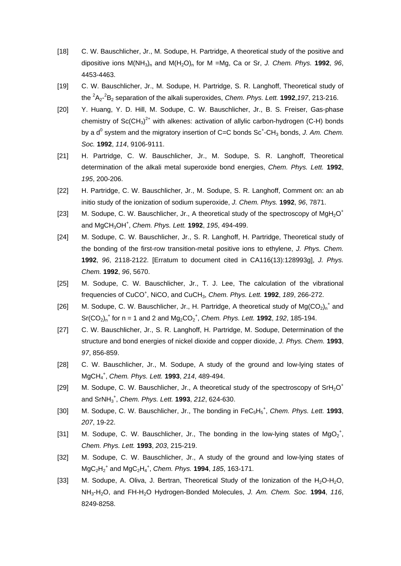- [18] C. W. Bauschlicher, Jr., M. Sodupe, H. Partridge, A theoretical study of the positive and dipositive ions  $M(NH_3)$ <sub>n</sub> and  $M(H_2O)$ <sub>n</sub> for M =Mg, Ca or Sr, *J. Chem. Phys.* **1992**, *96*, 4453-4463.
- [19] C. W. Bauschlicher, Jr., M. Sodupe, H. Partridge, S. R. Langhoff, Theoretical study of the 2 A2- 2 B2 separation of the alkali superoxides, *Chem. Phys. Lett.* **1992**,*197*, 213-216.
- [20] Y. Huang, Y. D. Hill, M. Sodupe, C. W. Bauschlicher, Jr., B. S. Freiser, Gas-phase chemistry of  $Sc(CH_3)^{2+}$  with alkenes: activation of allylic carbon-hydrogen (C-H) bonds by a d<sup>0</sup> system and the migratory insertion of C=C bonds Sc<sup>+</sup>-CH<sub>3</sub> bonds, J. Am. Chem. *Soc.* **1992**, *114*, 9106-9111.
- [21] H. Partridge, C. W. Bauschlicher, Jr., M. Sodupe, S. R. Langhoff, Theoretical determination of the alkali metal superoxide bond energies, *Chem. Phys. Lett.* **1992**, *195*, 200-206.
- [22] H. Partridge, C. W. Bauschlicher, Jr., M. Sodupe, S. R. Langhoff, Comment on: an ab initio study of the ionization of sodium superoxide, *J. Chem. Phys.* **1992**, *96*, 7871.
- [23] M. Sodupe, C. W. Bauschlicher, Jr., A theoretical study of the spectroscopy of  $MgH_2O^+$ and MgCH3OH<sup>+</sup> , *Chem. Phys. Lett.* **1992**, *195*, 494-499.
- [24] M. Sodupe, C. W. Bauschlicher, Jr., S. R. Langhoff, H. Partridge, Theoretical study of the bonding of the first-row transition-metal positive ions to ethylene, *J. Phys. Chem.*  **1992**, *96*, 2118-2122. [Erratum to document cited in CA116(13):128993g], *J. Phys. Chem.* **1992**, *96*, 5670.
- [25] M. Sodupe, C. W. Bauschlicher, Jr., T. J. Lee, The calculation of the vibrational frequencies of CuCO<sup>+</sup> , NiCO, and CuCH3, *Chem. Phys. Lett.* **1992**, *189*, 266-272.
- [26] M. Sodupe, C. W. Bauschlicher, Jr., H. Partridge, A theoretical study of  $Mg(CO_2)_n^{\dagger}$  and  $Sr(CO<sub>2</sub>)<sub>n</sub><sup>+</sup>$  for n = 1 and 2 and  $Mg<sub>2</sub>CO<sub>2</sub><sup>+</sup>$ , *Chem. Phys. Lett.* **1992**, *192*, 185-194.
- [27] C. W. Bauschlicher, Jr., S. R. Langhoff, H. Partridge, M. Sodupe, Determination of the structure and bond energies of nickel dioxide and copper dioxide, *J. Phys. Chem.* **1993**, *97*, 856-859.
- [28] C. W. Bauschlicher, Jr., M. Sodupe, A study of the ground and low-lying states of MgCH4 + , *Chem. Phys. Lett.* **1993**, *214*, 489-494.
- [29] M. Sodupe, C. W. Bauschlicher, Jr., A theoretical study of the spectroscopy of  $\text{SrH}_2\text{O}^+$ and SrNH3 + , *Chem. Phys. Lett.* **1993**, *212*, 624-630.
- [30] M. Sodupe, C. W. Bauschlicher, Jr., The bonding in FeC<sub>5</sub>H<sub>5</sub><sup>+</sup>, Chem. Phys. Lett. **1993**, *207*, 19-22.
- [31] M. Sodupe, C. W. Bauschlicher, Jr., The bonding in the low-lying states of  $MgO_2^*$ , *Chem. Phys. Lett.* **1993**, *203*, 215-219.
- [32] M. Sodupe, C. W. Bauschlicher, Jr., A study of the ground and low-lying states of MgC2H2 + and MgC2H4 + , *Chem. Phys.* **1994**, *185*, 163-171.
- [33] M. Sodupe, A. Oliva, J. Bertran, Theoretical Study of the Ionization of the H<sub>2</sub>O-H<sub>2</sub>O, NH3-H2O, and FH-H2O Hydrogen-Bonded Molecules, *J. Am. Chem. Soc.* **1994**, *116*, 8249-8258.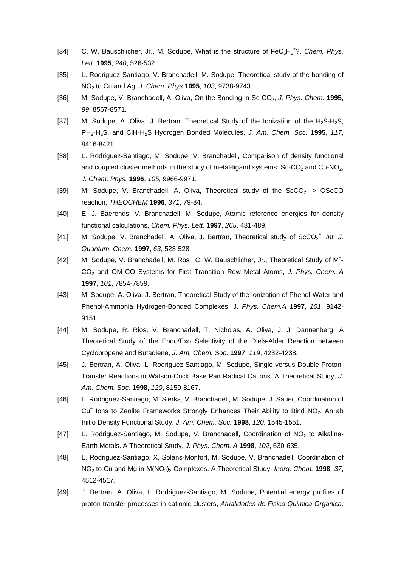- [34] C. W. Bauschlicher, Jr., M. Sodupe, What is the structure of FeC<sub>5</sub>H<sub>6</sub><sup>+</sup>?, Chem. Phys. *Lett.* **1995**, *240*, 526-532.
- [35] L. Rodriguez-Santiago, V. Branchadell, M. Sodupe, Theoretical study of the bonding of NO2 to Cu and Ag, *J. Chem. Phys.***1995**, *103*, 9738-9743.
- [36] M. Sodupe, V. Branchadell, A. Oliva, On the Bonding in Sc-CO<sub>2</sub>, J. Phys. Chem. **1995**, *99*, 8567-8571.
- [37] M. Sodupe, A. Oliva, J. Bertran, Theoretical Study of the Ionization of the  $H_2S-H_2S$ , PH3-H2S, and ClH-H2S Hydrogen Bonded Molecules, *J. Am. Chem. Soc.* **1995**, *117*, 8416-8421.
- [38] L. Rodriguez-Santiago, M. Sodupe, V. Branchadell, Comparison of density functional and coupled cluster methods in the study of metal-ligand systems:  $Sc$ - $CO$ <sub>2</sub> and  $Cu$ - $NO$ <sub>2</sub>. *J. Chem. Phys.* **1996**, *105*, 9966-9971.
- [39] M. Sodupe, V. Branchadell, A. Oliva, Theoretical study of the  $SCO<sub>2</sub> \rightarrow OSCCO$ reaction, *THEOCHEM* **1996**, *371*, 79-84.
- [40] E. J. Baerends, V. Branchadell, M. Sodupe, Atomic reference energies for density functional calculations, *Chem. Phys. Lett.* **1997**, *265*, 481-489.
- [41] M. Sodupe, V. Branchadell, A. Oliva, J. Bertran, Theoretical study of ScCO<sub>2</sub><sup>+</sup>, Int. J. *Quantum. Chem.* **1997**, *63*, 523-528.
- [42] M. Sodupe, V. Branchadell, M. Rosi, C. W. Bauschlicher, Jr., Theoretical Study of M<sup>+</sup>-CO2 and OM+ CO Systems for First Transition Row Metal Atoms, *J. Phys. Chem. A*  **1997**, *101*, 7854-7859.
- [43] M. Sodupe, A. Oliva, J. Bertran, Theoretical Study of the Ionization of Phenol-Water and Phenol-Ammonia Hydrogen-Bonded Complexes, J. *Phys. Chem.A* **1997**, *101*, 9142- 9151.
- [44] M. Sodupe, R. Rios, V. Branchadell, T. Nicholas, A. Oliva, J. J. Dannenberg, A Theoretical Study of the Endo/Exo Selectivity of the Diels-Alder Reaction between Cyclopropene and Butadiene, *J. Am. Chem. Soc.* **1997**, *119*, 4232-4238.
- [45] J. Bertran, A. Oliva, L. Rodriguez-Santiago, M. Sodupe, Single versus Double Proton-Transfer Reactions in Watson-Crick Base Pair Radical Cations. A Theoretical Study, *J. Am. Chem. Soc.* **1998**, *120*, 8159-8167.
- [46] L. Rodriguez-Santiago, M. Sierka, V. Branchadell, M. Sodupe, J. Sauer, Coordination of Cu<sup>+</sup> Ions to Zeolite Frameworks Strongly Enhances Their Ability to Bind NO<sub>2</sub>. An ab Initio Density Functional Study, *J. Am. Chem. Soc.* **1998**, *120*, 1545-1551.
- [47] L. Rodriguez-Santiago, M. Sodupe, V. Branchadell, Coordination of  $NO<sub>2</sub>$  to Alkaline-Earth Metals. A Theoretical Study, *J. Phys. Chem. A* **1998**, *102*, 630-635.
- [48] L. Rodriguez-Santiago, X. Solans-Monfort, M. Sodupe, V. Branchadell, Coordination of NO2 to Cu and Mg in M(NO2)2 Complexes. A Theoretical Study, *Inorg. Chem.* **1998**, *37*, 4512-4517.
- [49] J. Bertran, A. Oliva, L. Rodriguez-Santiago, M. Sodupe, Potential energy profiles of proton transfer processes in cationic clusters, *Atualidades de Fisico-Quimica Organica,*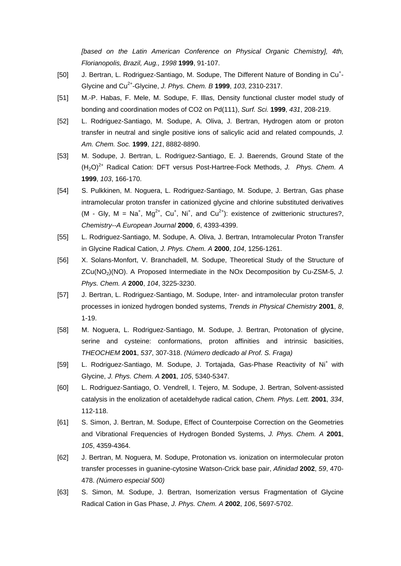*[based on the Latin American Conference on Physical Organic Chemistry], 4th, Florianopolis, Brazil, Aug., 1998* **1999**, 91-107.

- [50] J. Bertran, L. Rodriguez-Santiago, M. Sodupe, The Different Nature of Bonding in Cu<sup>+</sup>-Glycine and Cu2+-Glycine, *J. Phys. Chem. B* **1999**, *103*, 2310-2317.
- [51] M.-P. Habas, F. Mele, M. Sodupe, F. Illas, Density functional cluster model study of bonding and coordination modes of CO2 on Pd(111), *Surf. Sci.* **1999**, *431*, 208-219.
- [52] L. Rodriguez-Santiago, M. Sodupe, A. Oliva, J. Bertran, Hydrogen atom or proton transfer in neutral and single positive ions of salicylic acid and related compounds, *J. Am. Chem. Soc.* **1999**, *121*, 8882-8890.
- [53] M. Sodupe, J. Bertran, L. Rodriguez-Santiago, E. J. Baerends, Ground State of the (H2O)2+ Radical Cation: DFT versus Post-Hartree-Fock Methods, *J. Phys. Chem. A*  **1999**, *103*, 166-170.
- [54] S. Pulkkinen, M. Noguera, L. Rodriguez-Santiago, M. Sodupe, J. Bertran, Gas phase intramolecular proton transfer in cationized glycine and chlorine substituted derivatives (M - Gly, M = Na<sup>+</sup>, Mg<sup>2+</sup>, Cu<sup>+</sup>, Ni<sup>+</sup>, and Cu<sup>2+</sup>): existence of zwitterionic structures?, *Chemistry--A European Journal* **2000**, *6*, 4393-4399.
- [55] L. Rodriguez-Santiago, M. Sodupe, A. Oliva, J. Bertran, Intramolecular Proton Transfer in Glycine Radical Cation, *J. Phys. Chem. A* **2000**, *104*, 1256-1261.
- [56] X. Solans-Monfort, V. Branchadell, M. Sodupe, Theoretical Study of the Structure of ZCu(NO2)(NO). A Proposed Intermediate in the NOx Decomposition by Cu-ZSM-5, *J. Phys. Chem. A* **2000**, *104*, 3225-3230.
- [57] J. Bertran, L. Rodriguez-Santiago, M. Sodupe, Inter- and intramolecular proton transfer processes in ionized hydrogen bonded systems, *Trends in Physical Chemistry* **2001**, *8*, 1-19.
- [58] M. Noguera, L. Rodriguez-Santiago, M. Sodupe, J. Bertran, Protonation of glycine, serine and cysteine: conformations, proton affinities and intrinsic basicities, *THEOCHEM* **2001**, *537*, 307-318. *(Número dedicado al Prof. S. Fraga)*
- [59] L. Rodriguez-Santiago, M. Sodupe, J. Tortajada, Gas-Phase Reactivity of Ni<sup>+</sup> with Glycine, *J. Phys. Chem. A* **2001**, *105*, 5340-5347.
- [60] L. Rodriguez-Santiago, O. Vendrell, I. Tejero, M. Sodupe, J. Bertran, Solvent-assisted catalysis in the enolization of acetaldehyde radical cation, *Chem. Phys. Lett.* **2001**, *334*, 112-118.
- [61] S. Simon, J. Bertran, M. Sodupe, Effect of Counterpoise Correction on the Geometries and Vibrational Frequencies of Hydrogen Bonded Systems, *J. Phys. Chem. A* **2001**, *105*, 4359-4364.
- [62] J. Bertran, M. Noguera, M. Sodupe, Protonation vs. ionization on intermolecular proton transfer processes in guanine-cytosine Watson-Crick base pair, *Afinidad* **2002**, *59*, 470- 478. *(Número especial 500)*
- [63] S. Simon, M. Sodupe, J. Bertran, Isomerization versus Fragmentation of Glycine Radical Cation in Gas Phase, *J. Phys. Chem. A* **2002**, *106*, 5697-5702.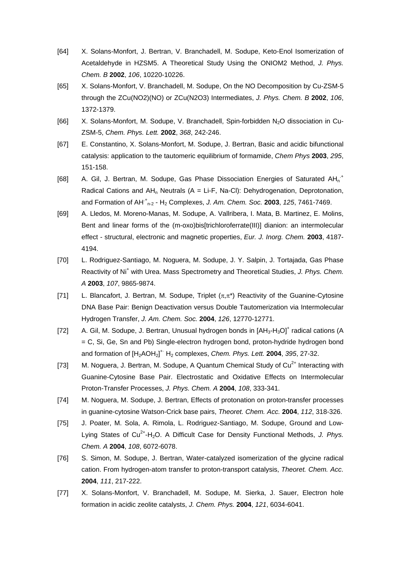- [64] X. Solans-Monfort, J. Bertran, V. Branchadell, M. Sodupe, Keto-Enol Isomerization of Acetaldehyde in HZSM5. A Theoretical Study Using the ONIOM2 Method, *J. Phys. Chem. B* **2002**, *106*, 10220-10226.
- [65] X. Solans-Monfort, V. Branchadell, M. Sodupe, On the NO Decomposition by Cu-ZSM-5 through the ZCu(NO2)(NO) or ZCu(N2O3) Intermediates, *J. Phys. Chem. B* **2002**, *106*, 1372-1379.
- [66] X. Solans-Monfort, M. Sodupe, V. Branchadell, Spin-forbidden N<sub>2</sub>O dissociation in Cu-ZSM-5, *Chem. Phys. Lett.* **2002**, *368*, 242-246.
- [67] E. Constantino, X. Solans-Monfort, M. Sodupe, J. Bertran, Basic and acidic bifunctional catalysis: application to the tautomeric equilibrium of formamide, *Chem Phys* **2003**, *295*, 151-158.
- [68] A. Gil, J. Bertran, M. Sodupe, Gas Phase Dissociation Energies of Saturated AH<sub>n</sub><sup>+</sup> Radical Cations and AH<sub>n</sub> Neutrals ( $A = Li-F$ , Na-Cl): Dehydrogenation, Deprotonation, and Formation of AH<sup>+</sup><sub>n-2</sub> - H<sub>2</sub> Complexes, *J. Am. Chem. Soc.* **2003**, 125, 7461-7469.
- [69] A. Lledos, M. Moreno-Manas, M. Sodupe, A. Vallribera, I. Mata, B. Martinez, E. Molins, Bent and linear forms of the (m-oxo)bis[trichloroferrate(III)] dianion: an intermolecular effect - structural, electronic and magnetic properties, *Eur. J. Inorg. Chem.* **2003**, 4187- 4194.
- [70] L. Rodriguez-Santiago, M. Noguera, M. Sodupe, J. Y. Salpin, J. Tortajada, Gas Phase Reactivity of Ni<sup>+</sup> with Urea. Mass Spectrometry and Theoretical Studies, J. Phys. Chem. *A* **2003**, *107*, 9865-9874.
- [71] L. Blancafort, J. Bertran, M. Sodupe, Triplet  $(\pi,\pi^*)$  Reactivity of the Guanine-Cytosine DNA Base Pair: Benign Deactivation versus Double Tautomerization via Intermolecular Hydrogen Transfer, *J. Am. Chem. Soc.* **2004**, *126*, 12770-12771.
- [72] A. Gil, M. Sodupe, J. Bertran, Unusual hydrogen bonds in  $[AH_{3}-H_{3}O]^{+}$  radical cations (A = C, Si, Ge, Sn and Pb) Single-electron hydrogen bond, proton-hydride hydrogen bond and formation of  $[H_2AOH_2]^+$ <sup>+</sup> H<sub>2</sub> complexes, *Chem. Phys. Lett.* **2004**, 395, 27-32.
- [73] M. Noguera, J. Bertran, M. Sodupe, A Quantum Chemical Study of  $Cu<sup>2+</sup>$  Interacting with Guanine-Cytosine Base Pair. Electrostatic and Oxidative Effects on Intermolecular Proton-Transfer Processes, *J. Phys. Chem. A* **2004**, *108*, 333-341.
- [74] M. Noguera, M. Sodupe, J. Bertran, Effects of protonation on proton-transfer processes in guanine-cytosine Watson-Crick base pairs, *Theoret. Chem. Acc.* **2004**, *112*, 318-326.
- [75] J. Poater, M. Sola, A. Rimola, L. Rodriguez-Santiago, M. Sodupe, Ground and Low-Lying States of Cu<sup>2+</sup>-H<sub>2</sub>O. A Difficult Case for Density Functional Methods, J. Phys. *Chem. A* **2004**, *108*, 6072-6078.
- [76] S. Simon, M. Sodupe, J. Bertran, Water-catalyzed isomerization of the glycine radical cation. From hydrogen-atom transfer to proton-transport catalysis, *Theoret. Chem. Acc.*  **2004**, *111*, 217-222.
- [77] X. Solans-Monfort, V. Branchadell, M. Sodupe, M. Sierka, J. Sauer, Electron hole formation in acidic zeolite catalysts, *J. Chem. Phys.* **2004**, *121*, 6034-6041.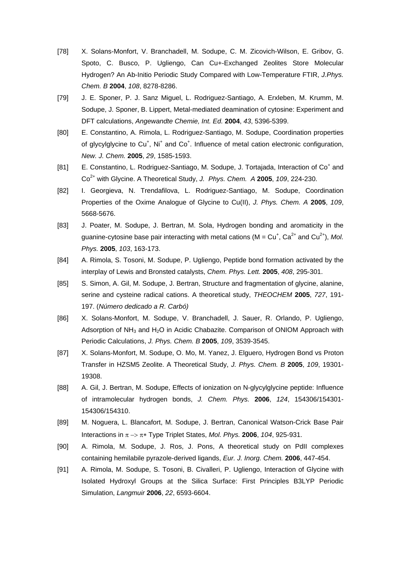- [78] X. Solans-Monfort, V. Branchadell, M. Sodupe, C. M. Zicovich-Wilson, E. Gribov, G. Spoto, C. Busco, P. Ugliengo, Can Cu+-Exchanged Zeolites Store Molecular Hydrogen? An Ab-Initio Periodic Study Compared with Low-Temperature FTIR, *J.Phys. Chem. B* **2004**, *108*, 8278-8286.
- [79] J. E. Sponer, P. J. Sanz Miguel, L. Rodriguez-Santiago, A. Erxleben, M. Krumm, M. Sodupe, J. Sponer, B. Lippert, Metal-mediated deamination of cytosine: Experiment and DFT calculations, *Angewandte Chemie, Int. Ed.* **2004**, *43*, 5396-5399.
- [80] E. Constantino, A. Rimola, L. Rodriguez-Santiago, M. Sodupe, Coordination properties of glycylglycine to  $Cu<sup>+</sup>$ , Ni<sup>+</sup> and  $Co<sup>+</sup>$ . Influence of metal cation electronic configuration, *New. J. Chem.* **2005**, *29*, 1585-1593.
- [81] E. Constantino, L. Rodriguez-Santiago, M. Sodupe, J. Tortajada, Interaction of Co<sup>+</sup> and Co2+ with Glycine. A Theoretical Study, *J. Phys. Chem. A* **2005**, *109*, 224-230.
- [82] I. Georgieva, N. Trendafilova, L. Rodriguez-Santiago, M. Sodupe, Coordination Properties of the Oxime Analogue of Glycine to Cu(II), *J. Phys. Chem. A* **2005**, *109*, 5668-5676.
- [83] J. Poater, M. Sodupe, J. Bertran, M. Sola, Hydrogen bonding and aromaticity in the guanine-cytosine base pair interacting with metal cations ( $M = Cu^+$ ,  $Ca^{2+}$  and  $Cu^{2+}$ ), *Mol. Phys.* **2005**, *103*, 163-173.
- [84] A. Rimola, S. Tosoni, M. Sodupe, P. Ugliengo, Peptide bond formation activated by the interplay of Lewis and Bronsted catalysts, *Chem. Phys. Lett.* **2005**, *408*, 295-301.
- [85] S. Simon, A. Gil, M. Sodupe, J. Bertran, Structure and fragmentation of glycine, alanine, serine and cysteine radical cations. A theoretical study, *THEOCHEM* **2005**, *727*, 191- 197. (*Número dedicado a R. Carbó)*
- [86] X. Solans-Monfort, M. Sodupe, V. Branchadell, J. Sauer, R. Orlando, P. Ugliengo, Adsorption of  $NH<sub>3</sub>$  and H<sub>2</sub>O in Acidic Chabazite. Comparison of ONIOM Approach with Periodic Calculations, *J. Phys. Chem. B* **2005**, *109*, 3539-3545.
- [87] X. Solans-Monfort, M. Sodupe, O. Mo, M. Yanez, J. Elguero, Hydrogen Bond vs Proton Transfer in HZSM5 Zeolite. A Theoretical Study, *J. Phys. Chem. B* **2005**, *109*, 19301- 19308.
- [88] A. Gil, J. Bertran, M. Sodupe, Effects of ionization on N-glycylglycine peptide: Influence of intramolecular hydrogen bonds, *J. Chem. Phys.* **2006**, *124*, 154306/154301- 154306/154310.
- [89] M. Noguera, L. Blancafort, M. Sodupe, J. Bertran, Canonical Watson-Crick Base Pair Interactions in  $\pi \rightarrow \pi^*$  Type Triplet States, *Mol. Phys.* **2006**, 104, 925-931.
- [90] A. Rimola, M. Sodupe, J. Ros, J. Pons, A theoretical study on PdII complexes containing hemilabile pyrazole-derived ligands, *Eur. J. Inorg. Chem.* **2006**, 447-454.
- [91] A. Rimola, M. Sodupe, S. Tosoni, B. Civalleri, P. Ugliengo, Interaction of Glycine with Isolated Hydroxyl Groups at the Silica Surface: First Principles B3LYP Periodic Simulation, *Langmuir* **2006**, *22*, 6593-6604.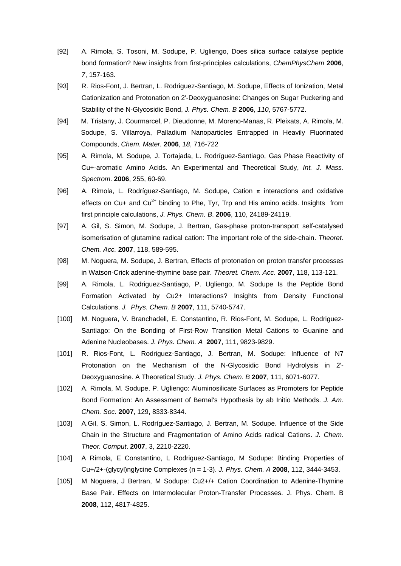- [92] A. Rimola, S. Tosoni, M. Sodupe, P. Ugliengo, Does silica surface catalyse peptide bond formation? New insights from first-principles calculations, *ChemPhysChem* **2006**, *7*, 157-163.
- [93] R. Rios-Font, J. Bertran, L. Rodriguez-Santiago, M. Sodupe, Effects of Ionization, Metal Cationization and Protonation on 2'-Deoxyguanosine: Changes on Sugar Puckering and Stability of the N-Glycosidic Bond, *J. Phys. Chem. B* **2006**, *110*, 5767-5772.
- [94] M. Tristany, J. Courmarcel, P. Dieudonne, M. Moreno-Manas, R. Pleixats, A. Rimola, M. Sodupe, S. Villarroya, Palladium Nanoparticles Entrapped in Heavily Fluorinated Compounds, *Chem. Mater.* **2006**, *18*, 716-722
- [95] A. Rimola, M. Sodupe, J. Tortajada, L. Rodríguez-Santiago, Gas Phase Reactivity of Cu+-aromatic Amino Acids. An Experimental and Theoretical Study, *Int. J. Mass. Spectrom*. **2006**, 255, 60-69.
- [96] A. Rimola, L. Rodríguez-Santiago, M. Sodupe, Cation  $\pi$  interactions and oxidative effects on Cu+ and Cu<sup>2+</sup> binding to Phe. Tyr, Trp and His amino acids. Insights from first principle calculations, *J. Phys. Chem. B*. **2006**, 110, 24189-24119.
- [97] A. Gil, S. Simon, M. Sodupe, J. Bertran, Gas-phase proton-transport self-catalysed isomerisation of glutamine radical cation: The important role of the side-chain. *Theoret. Chem. Acc.* **2007**, 118, 589-595.
- [98] M. Noguera, M. Sodupe, J. Bertran, Effects of protonation on proton transfer processes in Watson-Crick adenine-thymine base pair*. Theoret. Chem. Acc*. **2007**, 118, 113-121.
- [99] A. Rimola, L. Rodriguez-Santiago, P. Ugliengo, M. Sodupe Is the Peptide Bond Formation Activated by Cu2+ Interactions? Insights from Density Functional Calculations. *J. Phys. Chem. B* **2007**, 111, 5740-5747.
- [100] M. Noguera, V. Branchadell, E. Constantino, R. Rios-Font, M. Sodupe, L. Rodriguez-Santiago: On the Bonding of First-Row Transition Metal Cations to Guanine and Adenine Nucleobases. *J. Phys. Chem. A* **2007**, 111, 9823-9829.
- [101] R. Rios-Font, L. Rodriguez-Santiago, J. Bertran, M. Sodupe: Influence of N7 Protonation on the Mechanism of the N-Glycosidic Bond Hydrolysis in 2'- Deoxyguanosine. A Theoretical Study. *J. Phys. Chem. B* **2007**, 111, 6071-6077.
- [102] A. Rimola, M. Sodupe, P. Ugliengo: Aluminosilicate Surfaces as Promoters for Peptide Bond Formation: An Assessment of Bernal's Hypothesis by ab Initio Methods. *J. Am. Chem. Soc.* **2007**, 129, 8333-8344.
- [103] A.Gil, S. Simon, L. Rodríguez-Santiago, J. Bertran, M. Sodupe. Influence of the Side Chain in the Structure and Fragmentation of Amino Acids radical Cations. *J. Chem. Theor. Comput*. **2007**, 3, 2210-2220.
- [104] A Rimola, E Constantino, L Rodriguez-Santiago, M Sodupe: Binding Properties of Cu+/2+-(glycyl)nglycine Complexes (n = 1-3). *J. Phys. Chem. A* **2008**, 112, 3444-3453.
- [105] M Noguera, J Bertran, M Sodupe: Cu2+/+ Cation Coordination to Adenine-Thymine Base Pair. Effects on Intermolecular Proton-Transfer Processes. J. Phys. Chem. B **2008**, 112, 4817-4825.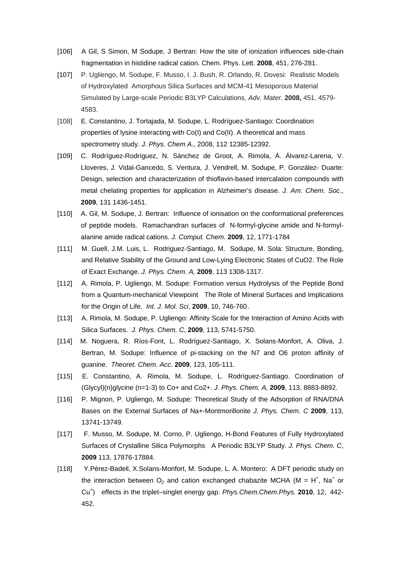- [106] A Gil, S Simon, M Sodupe, J Bertran: How the site of ionization influences side-chain fragmentation in histidine radical cation. Chem. Phys. Lett. **2008**, 451, 276-281.
- [107] P. Ugliengo, M. Sodupe, F. Musso, I. J. Bush, R. Orlando, R. Dovesi: Realistic Models of Hydroxylated Amorphous Silica Surfaces and MCM-41 Mesoporous Material Simulated by Large-scale Periodic B3LYP Calculations, *Adv. Mater*. **2008,** 451, 4579- 4583.
- [108] E. Constantino, J. Tortajada, M. Sodupe, L. Rodríguez-Santiago: Coordination properties of lysine interacting with Co(I) and Co(II). A theoretical and mass spectrometry study. *J. Phys. Chem A.,* 2008, 112 12385-12392.
- [109] C. Rodríguez-Rodríguez, N. Sánchez de Groot, A. Rimola, Á. Álvarez-Larena, V. Lloveres, J. Vidal-Gancedo, S. Ventura, J. Vendrell, M. Sodupe, P. González- Duarte: Design, selection and characterization of thioflavin-based intercalation compounds with metal chelating properties for application in Alzheimer's disease. *J. Am. Chem. Soc*., **2009**, 131 1436-1451.
- [110] A. Gil, M. Sodupe, J. Bertran: Influence of ionisation on the conformational preferences of peptide models. Ramachandran surfaces of N-formyl-glycine amide and N-formylalanine amide radical cations. *J. Comput. Chem*. **2009**, 12, 1771-1784
- [111] M. Guell, J.M. Luis, L. Rodriguez-Santiago, M. Sodupe, M. Sola: Structure, Bonding, and Relative Stability of the Ground and Low-Lying Electronic States of CuO2. The Role of Exact Exchange. *J. Phys. Chem. A,* **2009**, 113 1308-1317.
- [112] A. Rimola, P. Ugliengo, M. Sodupe: Formation versus Hydrolysis of the Peptide Bond from a Quantum-mechanical Viewpoint The Role of Mineral Surfaces and Implications for the Origin of Life. *Int. J. Mol. Sci*, **2009**, 10, 746-760 .
- [113] A. Rimola, M. Sodupe, P. Ugliengo: Affinity Scale for the Interaction of Amino Acids with Silica Surfaces. *J. Phys. Chem. C*, **2009**, 113, 5741-5750.
- [114] M. Noguera, R. Ríos-Font, L. Rodríguez-Santiago, X. Solans-Monfort, A. Oliva, J. Bertran, M. Sodupe: Influence of pi-stacking on the N7 and O6 proton affinity of guanine. *Theoret. Chem. Acc*. **2009**, 123, 105-111.
- [115] E. Constantino, A. Rimola, M. Sodupe, L. Rodríguez-Santiago. Coordination of (Glycyl)(n)glycine (n=1-3) to Co+ and Co2+. *J. Phys. Chem. A,* **2009**, 113, 8883-8892.
- [116] P. Mignon, P. Ugliengo, M. Sodupe: Theoretical Study of the Adsorption of RNA/DNA Bases on the External Surfaces of Na+-Montmorillonite *J. Phys. Chem. C* **2009**, 113, 13741-13749.
- [117] F. Musso, M. Sodupe, M. Corno, P. Ugliengo, H-Bond Features of Fully Hydroxylated Surfaces of Crystalline Silica Polymorphs A Periodic B3LYP Study. *J. Phys. Chem. C*, **2009** 113, 17876-17884.
- [118] Y.Pérez-Badell, X.Solans-Monfort, M. Sodupe, L. A. Montero: A DFT periodic study on the interaction between  $O_2$  and cation exchanged chabazite MCHA (M = H<sup>+</sup>, Na<sup>+</sup> or Cu<sup>+</sup> ) effects in the triplet–singlet energy gap. *Phys.Chem.Chem.Phys.* **2010**, 12, 442- 452.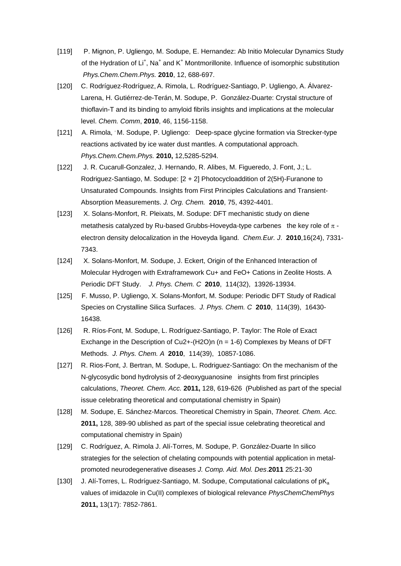- [119] P. Mignon, P. Ugliengo, M. Sodupe, E. Hernandez: Ab Initio Molecular Dynamics Study of the Hydration of  $Li<sup>+</sup>$ , Na<sup>+</sup> and K<sup>+</sup> Montmorillonite. Influence of isomorphic substitution *Phys.Chem.Chem.Phys.* **2010**, 12, 688-697.
- [120] C. Rodríguez-Rodríguez, A. Rimola, L. Rodríguez-Santiago, P. Ugliengo, A. Álvarez-Larena, H. Gutiérrez-de-Terán, M. Sodupe, P. González-Duarte: Crystal structure of thioflavin-T and its binding to amyloid fibrils insights and implications at the molecular level. *Chem. Comm*, **2010**, 46, 1156-1158.
- [121] A. Rimola, 'M. Sodupe, P. Ugliengo: Deep-space glycine formation via Strecker-type reactions activated by ice water dust mantles. A computational approach. *Phys.Chem.Chem.Phys.* **2010,** 12,5285-5294.
- [122] J. R. Cucarull-Gonzalez, J. Hernando, R. Alibes, M. Figueredo, J. Font, J.; L. Rodriguez-Santiago, M. Sodupe: [2 + 2] Photocycloaddition of 2(5H)-Furanone to Unsaturated Compounds. Insights from First Principles Calculations and Transient-Absorption Measurements. *J. Org. Chem.* **2010**, 75, 4392-4401.
- [123] X. Solans-Monfort, R. Pleixats, M. Sodupe: DFT mechanistic study on diene metathesis catalyzed by Ru-based Grubbs-Hoveyda-type carbenes the key role of  $\pi$  electron density delocalization in the Hoveyda ligand*. Chem.Eur. J*. **2010**,16(24), 7331- 7343.
- [124] X. Solans-Monfort, M. Sodupe, J. Eckert, Origin of the Enhanced Interaction of Molecular Hydrogen with Extraframework Cu+ and FeO+ Cations in Zeolite Hosts. A Periodic DFT Study. *J. Phys. Chem. C* **2010**, 114(32), 13926-13934.
- [125] F. Musso, P. Ugliengo, X. Solans-Monfort, M. Sodupe: Periodic DFT Study of Radical Species on Crystalline Silica Surfaces. *J. Phys. Chem. C* **2010**, 114(39), 16430- 16438.
- [126] R. Ríos-Font, M. Sodupe, L. Rodríguez-Santiago, P. Taylor: The Role of Exact Exchange in the Description of Cu2+-(H2O)n (n = 1-6) Complexes by Means of DFT Methods. *J. Phys. Chem. A* **2010**, 114(39), 10857-1086.
- [127] R. Rios-Font, J. Bertran, M. Sodupe, L. Rodriguez-Santiago: On the mechanism of the N-glycosydic bond hydrolysis of 2-deoxyguanosine insights from first principles calculations, *Theoret. Chem. Acc.* **2011,** 128, 619-626 (Published as part of the special issue celebrating theoretical and computational chemistry in Spain)
- [128] M. Sodupe, E. Sánchez-Marcos. Theoretical Chemistry in Spain, *Theoret. Chem. Acc.*  **2011,** 128, 389-90 ublished as part of the special issue celebrating theoretical and computational chemistry in Spain)
- [129] C. Rodríguez, A. Rimola J. Alí-Torres, M. Sodupe, P. González-Duarte In silico strategies for the selection of chelating compounds with potential application in metalpromoted neurodegenerative diseases *J. Comp. Aid. Mol. Des*.**2011** 25:21-30
- [130] J. Alí-Torres, L. Rodríguez-Santiago, M. Sodupe, Computational calculations of pKa values of imidazole in Cu(II) complexes of biological relevance *PhysChemChemPhys* **2011,** 13(17): 7852-7861.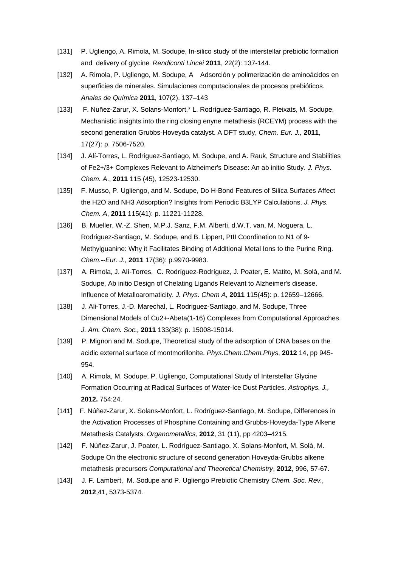- [131] P. Ugliengo, A. Rimola, M. Sodupe, In-silico study of the interstellar prebiotic formation and delivery of glycine *Rendiconti Lincei* **2011**, 22(2): 137-144.
- [132] A. Rimola, P. Ugliengo, M. Sodupe, A Adsorción y polimerización de aminoácidos en superficies de minerales. Simulaciones computacionales de procesos prebióticos. *Anales de Química* **2011**, 107(2), 137–143
- [133] F. Nuñez-Zarur, X. Solans-Monfort,\* L. Rodríguez-Santiago, R. Pleixats, M. Sodupe, Mechanistic insights into the ring closing enyne metathesis (RCEYM) process with the second generation Grubbs-Hoveyda catalyst. A DFT study, *Chem. Eur. J.,* **2011**, 17(27): p. 7506-7520.
- [134] J. Alí-Torres, L. Rodríguez-Santiago, M. Sodupe, and A. Rauk, Structure and Stabilities of Fe2+/3+ Complexes Relevant to Alzheimer's Disease: An ab initio Study. *J. Phys. Chem. A*., **2011** 115 (45), 12523-12530.
- [135] F. Musso, P. Ugliengo, and M. Sodupe, Do H-Bond Features of Silica Surfaces Affect the H2O and NH3 Adsorption? Insights from Periodic B3LYP Calculations. *J. Phys. Chem. A*, **2011** 115(41): p. 11221-11228.
- [136] B. Mueller, W.-Z. Shen, M.P.J. Sanz, F.M. Alberti, d.W.T. van, M. Noguera, L. Rodriguez-Santiago, M. Sodupe, and B. Lippert, PtII Coordination to N1 of 9- Methylguanine: Why it Facilitates Binding of Additional Metal Ions to the Purine Ring. *Chem.--Eur. J.,* **2011** 17(36): p.9970-9983.
- [137] A. Rimola, J. Alí-Torres, C. Rodríguez-Rodríguez, J. Poater, E. Matito, M. Solà, and M. Sodupe, Ab initio Design of Chelating Ligands Relevant to Alzheimer's disease. Influence of Metalloaromaticity. *J. Phys. Chem A,* **2011** 115(45): p. 12659–12666.
- [138] J. Ali-Torres, J.-D. Marechal, L. Rodriguez-Santiago, and M. Sodupe, Three Dimensional Models of Cu2+-Abeta(1-16) Complexes from Computational Approaches. *J. Am. Chem. Soc.,* **2011** 133(38): p. 15008-15014.
- [139] P. Mignon and M. Sodupe, Theoretical study of the adsorption of DNA bases on the acidic external surface of montmorillonite. *Phys.Chem.Chem.Phys*, **2012** 14, pp 945- 954.
- [140] A. Rimola, M. Sodupe, P. Ugliengo, Computational Study of Interstellar Glycine Formation Occurring at Radical Surfaces of Water-Ice Dust Particles*. Astrophys. J.,* **2012.** 754:24.
- [141] F. Núñez-Zarur, X. Solans-Monfort, L. Rodríguez-Santiago, M. Sodupe, Differences in the Activation Processes of Phosphine Containing and Grubbs-Hoveyda-Type Alkene Metathesis Catalysts. *Organometallics,* **2012**, 31 (11), pp 4203–4215.
- [142] F. Núñez-Zarur, J. Poater, L. Rodríguez-Santiago, X. Solans-Monfort, M. Solà, M. Sodupe On the electronic structure of second generation Hoveyda-Grubbs alkene metathesis precursors *Computational and Theoretical Chemistry*, **2012**, 996, 57-67.
- [143] J. F. Lambert, M. Sodupe and P. Ugliengo Prebiotic Chemistry *Chem. Soc. Rev.,* **2012**,41, 5373-5374.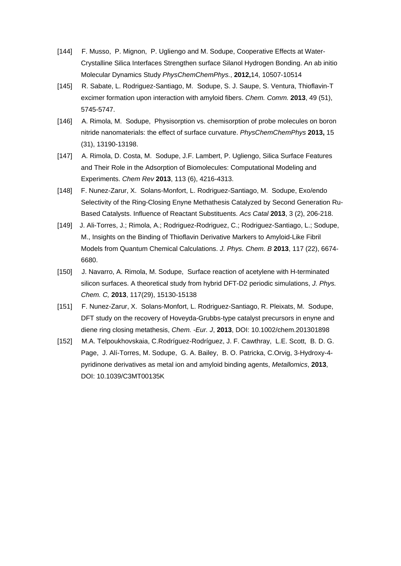- [144] F. Musso, P. Mignon, P. Ugliengo and M. Sodupe, Cooperative Effects at Water-Crystalline Silica Interfaces Strengthen surface Silanol Hydrogen Bonding. An ab initio Molecular Dynamics Study *PhysChemChemPhys.*, **2012,**14, 10507-10514
- [145] R. Sabate, L. Rodriguez-Santiago, M. Sodupe, S. J. Saupe, S. Ventura, Thioflavin-T excimer formation upon interaction with amyloid fibers. *Chem. Comm.* **2013**, 49 (51), 5745-5747.
- [146] A. Rimola, M. Sodupe, Physisorption vs. chemisorption of probe molecules on boron nitride nanomaterials: the effect of surface curvature. *PhysChemChemPhys* **2013,** 15 (31), 13190-13198.
- [147] A. Rimola, D. Costa, M. Sodupe, J.F. Lambert, P. Ugliengo, Silica Surface Features and Their Role in the Adsorption of Biomolecules: Computational Modeling and Experiments. *Chem Rev* **2013**, 113 (6), 4216-4313.
- [148] F. Nunez-Zarur, X. Solans-Monfort, L. Rodriguez-Santiago, M. Sodupe, Exo/endo Selectivity of the Ring-Closing Enyne Methathesis Catalyzed by Second Generation Ru-Based Catalysts. Influence of Reactant Substituents. *Acs Catal* **2013**, 3 (2), 206-218.
- [149] J. Ali-Torres, J.; Rimola, A.; Rodriguez-Rodriguez, C.; Rodriguez-Santiago, L.; Sodupe, M., Insights on the Binding of Thioflavin Derivative Markers to Amyloid-Like Fibril Models from Quantum Chemical Calculations. *J. Phys. Chem. B* **2013**, 117 (22), 6674- 6680.
- [150] J. Navarro, A. Rimola, M. Sodupe, Surface reaction of acetylene with H-terminated silicon surfaces. A theoretical study from hybrid DFT-D2 periodic simulations, *J. Phys. Chem. C,* **2013**, 117(29), 15130-15138
- [151] F. Nunez-Zarur, X. Solans-Monfort, L. Rodriguez-Santiago, R. Pleixats, M. Sodupe, DFT study on the recovery of Hoveyda-Grubbs-type catalyst precursors in enyne and diene ring closing metathesis, *Chem. -Eur. J*, **2013**, DOI: 10.1002/chem.201301898
- [152] M.A. Telpoukhovskaia, C.Rodríguez-Rodríguez, J. F. Cawthray, L.E. Scott, B. D. G. Page, J. Alí-Torres, M. Sodupe, G. A. Bailey, B. O. Patricka, C.Orvig, 3-Hydroxy-4 pyridinone derivatives as metal ion and amyloid binding agents, *Metallomics*, **2013**, DOI: 10.1039/C3MT00135K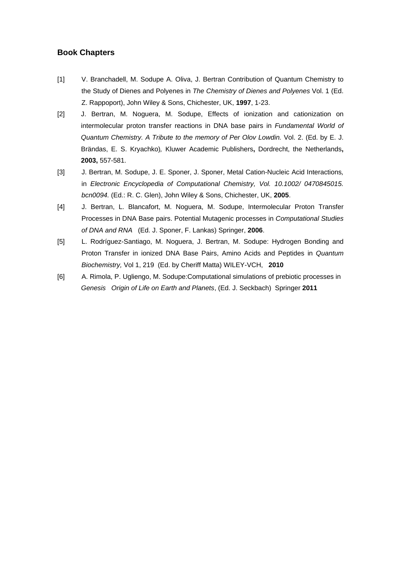## **Book Chapters**

- [1] V. Branchadell, M. Sodupe A. Oliva, J. Bertran Contribution of Quantum Chemistry to the Study of Dienes and Polyenes in *The Chemistry of Dienes and Polyenes* Vol. 1 (Ed. Z. Rappoport), John Wiley & Sons, Chichester, UK, **1997**, 1-23.
- [2] J. Bertran, M. Noguera, M. Sodupe, Effects of ionization and cationization on intermolecular proton transfer reactions in DNA base pairs in *Fundamental World of Quantum Chemistry. A Tribute to the memory of Per Olov Lowdin.* Vol. 2. (Ed. by E. J. Brändas, E. S. Kryachko)*,* Kluwer Academic Publishers**,** Dordrecht, the Netherlands**, 2003,** 557-581.
- [3] J. Bertran, M. Sodupe, J. E. Sponer, J. Sponer, Metal Cation-Nucleic Acid Interactions*,* in *Electronic Encyclopedia of Computational Chemistry, Vol. 10.1002/ 0470845015. bcn0094.* (Ed.: R. C. Glen), John Wiley & Sons, Chichester, UK, **2005**.
- [4] J. Bertran, L. Blancafort, M. Noguera, M. Sodupe, Intermolecular Proton Transfer Processes in DNA Base pairs. Potential Mutagenic processes in *Computational Studies of DNA and RNA* (Ed. J. Sponer, F. Lankas) Springer, **2006**.
- [5] L. Rodríguez-Santiago, M. Noguera, J. Bertran, M. Sodupe: Hydrogen Bonding and Proton Transfer in ionized DNA Base Pairs, Amino Acids and Peptides in *Quantum Biochemistry,* Vol 1, 219 (Ed. by Cheriff Matta) WILEY-VCH, **2010**
- [6] A. Rimola, P. Ugliengo, M. Sodupe:Computational simulations of prebiotic processes in  *Genesis Origin of Life on Earth and Planets*, (Ed. J. Seckbach) Springer **2011**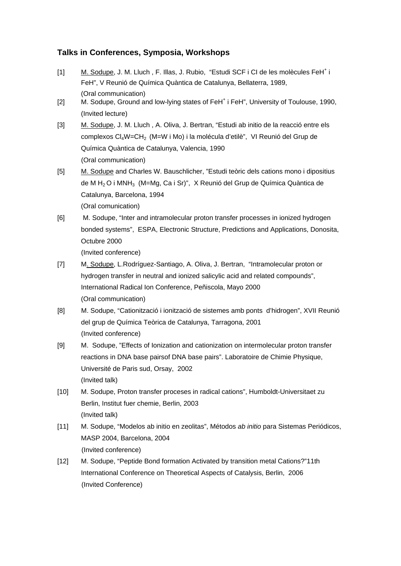# **Talks in Conferences, Symposia, Workshops**

- [1] M. Sodupe, J. M. Lluch, F. Illas, J. Rubio, "Estudi SCF i CI de les molècules FeH<sup>+</sup> i FeH", V Reunió de Química Quàntica de Catalunya, Bellaterra, 1989, (Oral communication)
- [2] M. Sodupe, Ground and low-lying states of FeH<sup>+</sup> i FeH", University of Toulouse, 1990, (Invited lecture)
- [3] M. Sodupe, J. M. Lluch , A. Oliva, J. Bertran, "Estudi ab initio de la reacció entre els complexos Cl4W=CH2 (M=W i Mo) i la molécula d'etilè", VI Reunió del Grup de Química Quàntica de Catalunya, Valencia, 1990 (Oral communication)
- [5] M. Sodupe and Charles W. Bauschlicher, "Estudi teòric dels cations mono i dipositius de M  $H_2$ O i MN $H_3$  (M=Mg, Ca i Sr)", X Reunió del Grup de Química Quàntica de Catalunya, Barcelona, 1994 (Oral comunication)
- [6] M. Sodupe, "Inter and intramolecular proton transfer processes in ionized hydrogen bonded systems", ESPA, Electronic Structure, Predictions and Applications, Donosita, Octubre 2000 (Invited conference)
- [7] M. Sodupe, L.Rodríguez-Santiago, A. Oliva, J. Bertran, "Intramolecular proton or hydrogen transfer in neutral and ionized salicylic acid and related compounds", International Radical Ion Conference, Peñiscola, Mayo 2000 (Oral communication)
- [8] M. Sodupe, "Cationització i ionització de sistemes amb ponts d'hidrogen", XVII Reunió del grup de Química Teòrica de Catalunya, Tarragona, 2001 (Invited conference)
- [9] M. Sodupe, "Effects of Ionization and cationization on intermolecular proton transfer reactions in DNA base pairsof DNA base pairs". Laboratoire de Chimie Physique, Université de Paris sud, Orsay, 2002 (Invited talk)
- [10] M. Sodupe, Proton transfer proceses in radical cations", Humboldt-Universitaet zu Berlin, Institut fuer chemie, Berlin, 2003 (Invited talk)
- [11] M. Sodupe, "Modelos ab initio en zeolitas", Métodos *ab initio* para Sistemas Periódicos, MASP 2004, Barcelona, 2004 (Invited conference)
- [12] M. Sodupe, "Peptide Bond formation Activated by transition metal Cations?"11th International Conference on Theoretical Aspects of Catalysis, Berlin, 2006 (Invited Conference)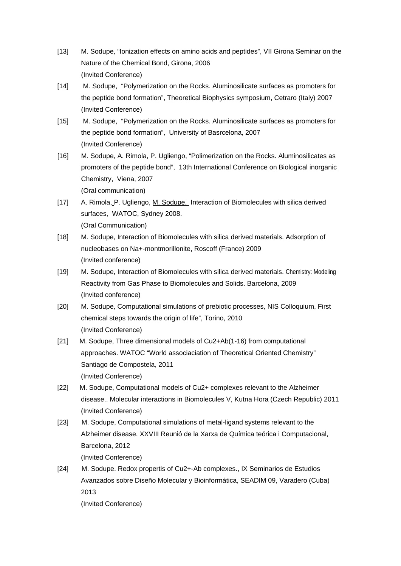- [13] M. Sodupe, "Ionization effects on amino acids and peptides", VII Girona Seminar on the Nature of the Chemical Bond, Girona, 2006 (Invited Conference)
- [14] M. Sodupe, "Polymerization on the Rocks. Aluminosilicate surfaces as promoters for the peptide bond formation", Theoretical Biophysics symposium, Cetraro (Italy) 2007 (Invited Conference)
- [15] M. Sodupe, "Polymerization on the Rocks. Aluminosilicate surfaces as promoters for the peptide bond formation", University of Basrcelona, 2007 (Invited Conference)
- [16] M. Sodupe, A. Rimola, P. Ugliengo, "Polimerization on the Rocks. Aluminosilicates as promoters of the peptide bond", 13th International Conference on Biological inorganic Chemistry, Viena, 2007 (Oral communication)
- [17] A. Rimola, P. Ugliengo, M. Sodupe, Interaction of Biomolecules with silica derived surfaces, WATOC, Sydney 2008. (Oral Communication)
- [18] M. Sodupe, Interaction of Biomolecules with silica derived materials. Adsorption of nucleobases on Na+-montmorillonite, Roscoff (France) 2009 (Invited conference)
- [19] M. Sodupe, Interaction of Biomolecules with silica derived materials. Chemistry: Modeling Reactivity from Gas Phase to Biomolecules and Solids. Barcelona, 2009 (Invited conference)
- [20] M. Sodupe, Computational simulations of prebiotic processes, NIS Colloquium, First chemical steps towards the origin of life", Torino, 2010 (Invited Conference)
- [21] M. Sodupe, Three dimensional models of Cu2+Ab(1-16) from computational approaches. WATOC "World associaciation of Theoretical Oriented Chemistry" Santiago de Compostela, 2011 (Invited Conference)
- [22] M. Sodupe, Computational models of Cu2+ complexes relevant to the Alzheimer disease.. Molecular interactions in Biomolecules V, Kutna Hora (Czech Republic) 2011 (Invited Conference)
- [23] M. Sodupe, Computational simulations of metal-ligand systems relevant to the Alzheimer disease. XXVIII Reunió de la Xarxa de Química teórica i Computacional, Barcelona, 2012 (Invited Conference)
- [24] M. Sodupe. Redox propertis of Cu2+-Ab complexes., IX Seminarios de Estudios Avanzados sobre Diseño Molecular y Bioinformática, SEADIM 09, Varadero (Cuba) 2013 (Invited Conference)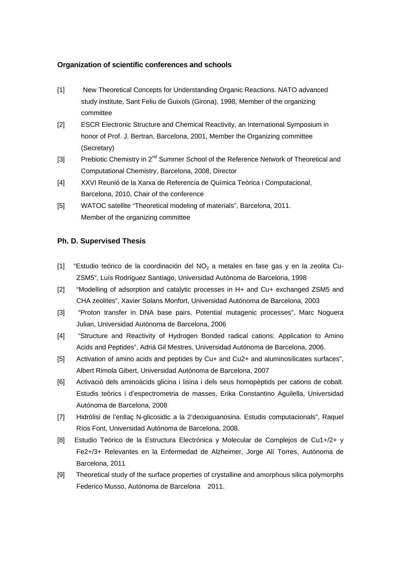### **Organization of scientific conferences and schools**

- [1] New Theoretical Concepts for Understanding Organic Reactions. NATO advanced study institute, Sant Feliu de Guixols (Girona), 1998, Member of the organizing committee
- [2] ESCR Electronic Structure and Chemical Reactivity, an International Symposium in honor of Prof. J. Bertran, Barcelona, 2001, Member the Organizing committee (Secretary)
- [3] Prebiotic Chemistry in 2<sup>nd</sup> Summer School of the Reference Network of Theoretical and Computational Chemistry, Barcelona, 2008, Director
- [4] XXVI Reunió de la Xarxa de Referencia de Química Teòrica i Computacional, Barcelona, 2010, Chair of the conference
- [5] WATOC satellite "Theoretical modeling of materials", Barcelona, 2011. Member of the organizing committee

#### **Ph. D. Supervised Thesis**

- [1] "Estudio teórico de la coordinación del  $NO<sub>2</sub>$  a metales en fase gas y en la zeolita Cu-ZSM5", Luís Rodríguez Santiago, Universidad Autònoma de Barcelona, 1998
- [2] "Modelling of adsorption and catalytic processes in H+ and Cu+ exchanged ZSM5 and CHA zeolites", Xavier Solans Monfort, Universidad Autónoma de Barcelona, 2003
- [3] "Proton transfer in DNA base pairs. Potential mutagenic processes", Marc Noguera Julian, Universidad Autónoma de Barcelona, 2006
- [4] "Structure and Reactivity of Hydrogen Bonded radical cations: Application to Amino Acids and Peptides", Adriá Gil Mestres, Universidad Autónoma de Barcelona, 2006.
- [5] Activation of amino acids and peptides by Cu+ and Cu2+ and aluminosilicates surfaces", Albert Rimola Gibert, Universidad Autónoma de Barcelona, 2007
- [6] Activació dels aminoàcids glicina i lisina i dels seus homopèptids per cations de cobalt. Estudis teòrics i d'espectrometria de masses, Erika Constantino Aguilella, Universidad Autónoma de Barcelona, 2008
- [7] Hidròlisi de l'enllaç N-glicosidic a la 2'deoxiguanosina. Estudis computacionals", Raquel Ríos Font, Universidad Autónoma de Barcelona, 2008.
- [8] Estudio Teórico de la Estructura Electrónica y Molecular de Complejos de Cu1+/2+ y Fe2+/3+ Relevantes en la Enfermedad de Alzheimer, Jorge Alí Torres, Autónoma de Barcelona, 2011
- [9] Theoretical study of the surface properties of crystalline and amorphous silica polymorphs Federico Musso, Autónoma de Barcelona 2011.